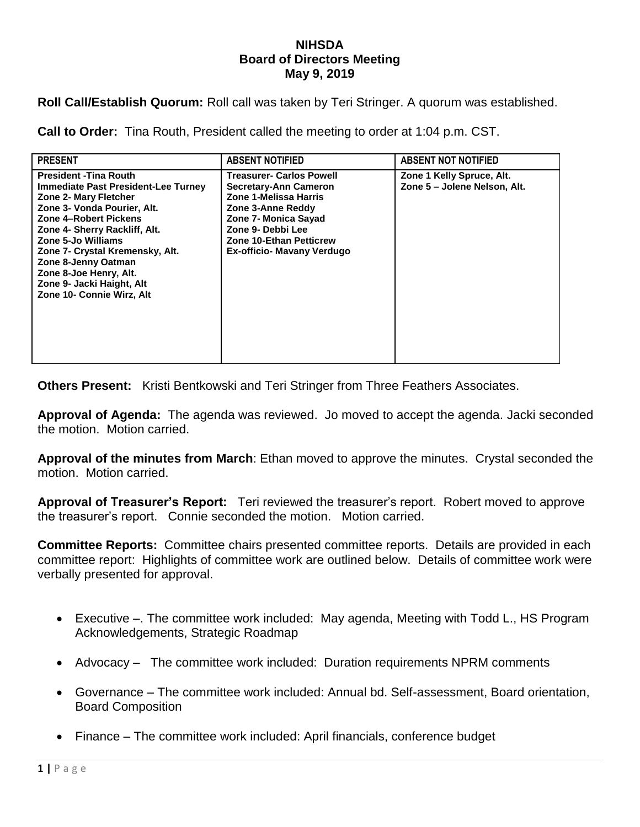## **NIHSDA Board of Directors Meeting May 9, 2019**

**Roll Call/Establish Quorum:** Roll call was taken by Teri Stringer. A quorum was established.

**Call to Order:** Tina Routh, President called the meeting to order at 1:04 p.m. CST.

| <b>PRESENT</b>                                                                                                                                                                                                                                                                                                                                             | <b>ABSENT NOTIFIED</b>                                                                                                                                                                                                     | <b>ABSENT NOT NOTIFIED</b>                                |
|------------------------------------------------------------------------------------------------------------------------------------------------------------------------------------------------------------------------------------------------------------------------------------------------------------------------------------------------------------|----------------------------------------------------------------------------------------------------------------------------------------------------------------------------------------------------------------------------|-----------------------------------------------------------|
| <b>President - Tina Routh</b><br>Immediate Past President-Lee Turney<br>Zone 2- Mary Fletcher<br>Zone 3- Vonda Pourier, Alt.<br>Zone 4-Robert Pickens<br>Zone 4- Sherry Rackliff, Alt.<br>Zone 5-Jo Williams<br>Zone 7- Crystal Kremensky, Alt.<br>Zone 8-Jenny Oatman<br>Zone 8-Joe Henry, Alt.<br>Zone 9- Jacki Haight, Alt<br>Zone 10- Connie Wirz, Alt | <b>Treasurer- Carlos Powell</b><br><b>Secretary-Ann Cameron</b><br>Zone 1-Melissa Harris<br>Zone 3-Anne Reddy<br>Zone 7- Monica Sayad<br>Zone 9- Debbi Lee<br>Zone 10-Ethan Petticrew<br><b>Ex-officio- Mavany Verdugo</b> | Zone 1 Kelly Spruce, Alt.<br>Zone 5 - Jolene Nelson, Alt. |

**Others Present:** Kristi Bentkowski and Teri Stringer from Three Feathers Associates.

**Approval of Agenda:** The agenda was reviewed. Jo moved to accept the agenda. Jacki seconded the motion. Motion carried.

**Approval of the minutes from March**: Ethan moved to approve the minutes. Crystal seconded the motion. Motion carried.

**Approval of Treasurer's Report:** Teri reviewed the treasurer's report. Robert moved to approve the treasurer's report. Connie seconded the motion. Motion carried.

**Committee Reports:** Committee chairs presented committee reports. Details are provided in each committee report: Highlights of committee work are outlined below. Details of committee work were verbally presented for approval.

- Executive –. The committee work included: May agenda, Meeting with Todd L., HS Program Acknowledgements, Strategic Roadmap
- Advocacy The committee work included: Duration requirements NPRM comments
- Governance The committee work included: Annual bd. Self-assessment, Board orientation, Board Composition
- Finance The committee work included: April financials, conference budget